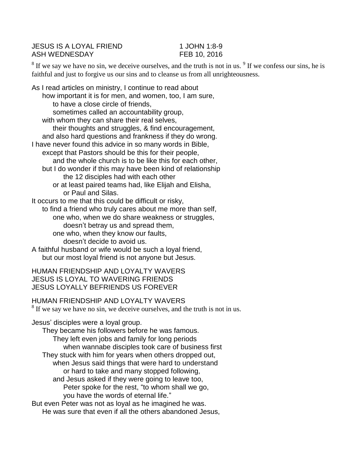JESUS IS A LOYAL FRIEND 1 JOHN 1:8-9 ASH WEDNESDAY FEB 10, 2016

 $8$  If we say we have no sin, we deceive ourselves, and the truth is not in us.  $9$  If we confess our sins, he is faithful and just to forgive us our sins and to cleanse us from all unrighteousness.

As I read articles on ministry, I continue to read about how important it is for men, and women, too, I am sure, to have a close circle of friends, sometimes called an accountability group, with whom they can share their real selves, their thoughts and struggles, & find encouragement, and also hard questions and frankness if they do wrong. I have never found this advice in so many words in Bible, except that Pastors should be this for their people, and the whole church is to be like this for each other, but I do wonder if this may have been kind of relationship the 12 disciples had with each other or at least paired teams had, like Elijah and Elisha, or Paul and Silas. It occurs to me that this could be difficult or risky, to find a friend who truly cares about me more than self, one who, when we do share weakness or struggles, doesn't betray us and spread them, one who, when they know our faults, doesn't decide to avoid us. A faithful husband or wife would be such a loyal friend, but our most loyal friend is not anyone but Jesus. HUMAN FRIENDSHIP AND LOYALTY WAVERS JESUS IS LOYAL TO WAVERING FRIENDS JESUS LOYALLY BEFRIENDS US FOREVER HUMAN FRIENDSHIP AND LOYALTY WAVERS  $8$  If we say we have no sin, we deceive ourselves, and the truth is not in us. Jesus' disciples were a loyal group. They became his followers before he was famous. They left even jobs and family for long periods when wannabe disciples took care of business first They stuck with him for years when others dropped out, when Jesus said things that were hard to understand or hard to take and many stopped following, and Jesus asked if they were going to leave too, Peter spoke for the rest, "to whom shall we go, you have the words of eternal life." But even Peter was not as loyal as he imagined he was. He was sure that even if all the others abandoned Jesus,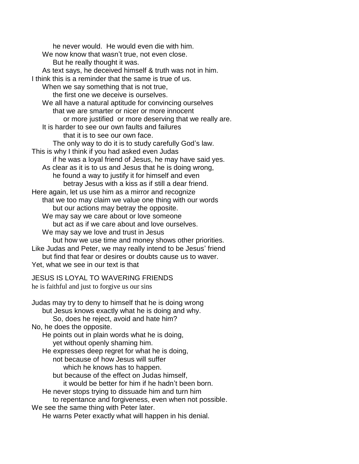he never would. He would even die with him. We now know that wasn't true, not even close. But he really thought it was. As text says, he deceived himself & truth was not in him. I think this is a reminder that the same is true of us. When we say something that is not true, the first one we deceive is ourselves. We all have a natural aptitude for convincing ourselves that we are smarter or nicer or more innocent or more justified or more deserving that we really are. It is harder to see our own faults and failures that it is to see our own face. The only way to do it is to study carefully God's law. This is why I think if you had asked even Judas if he was a loyal friend of Jesus, he may have said yes. As clear as it is to us and Jesus that he is doing wrong, he found a way to justify it for himself and even betray Jesus with a kiss as if still a dear friend. Here again, let us use him as a mirror and recognize that we too may claim we value one thing with our words but our actions may betray the opposite. We may say we care about or love someone but act as if we care about and love ourselves. We may say we love and trust in Jesus but how we use time and money shows other priorities. Like Judas and Peter, we may really intend to be Jesus' friend but find that fear or desires or doubts cause us to waver. Yet, what we see in our text is that JESUS IS LOYAL TO WAVERING FRIENDS he is faithful and just to forgive us our sins Judas may try to deny to himself that he is doing wrong

- but Jesus knows exactly what he is doing and why. So, does he reject, avoid and hate him? No, he does the opposite. He points out in plain words what he is doing,
	- yet without openly shaming him.
	- He expresses deep regret for what he is doing,
		- not because of how Jesus will suffer
		- which he knows has to happen.
		- but because of the effect on Judas himself, it would be better for him if he hadn't been born.
	- He never stops trying to dissuade him and turn him
- to repentance and forgiveness, even when not possible.
- We see the same thing with Peter later.
	- He warns Peter exactly what will happen in his denial.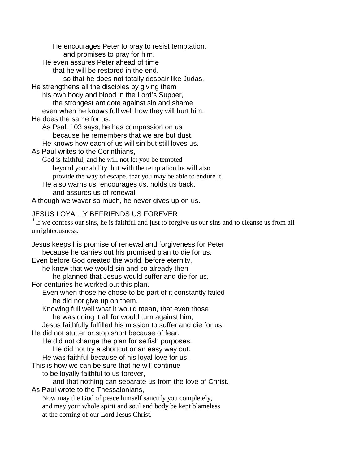He encourages Peter to pray to resist temptation, and promises to pray for him.

He even assures Peter ahead of time

that he will be restored in the end.

so that he does not totally despair like Judas.

He strengthens all the disciples by giving them

his own body and blood in the Lord's Supper,

the strongest antidote against sin and shame

even when he knows full well how they will hurt him.

He does the same for us.

As Psal. 103 says, he has compassion on us because he remembers that we are but dust.

He knows how each of us will sin but still loves us.

As Paul writes to the Corinthians,

God is faithful, and he will not let you be tempted beyond your ability, but with the temptation he will also provide the way of escape, that you may be able to endure it.

He also warns us, encourages us, holds us back,

and assures us of renewal.

Although we waver so much, he never gives up on us.

## JESUS LOYALLY BEFRIENDS US FOREVER

 $9<sup>9</sup>$  If we confess our sins, he is faithful and just to forgive us our sins and to cleanse us from all unrighteousness.

Jesus keeps his promise of renewal and forgiveness for Peter because he carries out his promised plan to die for us. Even before God created the world, before eternity, he knew that we would sin and so already then

he planned that Jesus would suffer and die for us.

For centuries he worked out this plan.

Even when those he chose to be part of it constantly failed he did not give up on them.

Knowing full well what it would mean, that even those he was doing it all for would turn against him,

Jesus faithfully fulfilled his mission to suffer and die for us.

He did not stutter or stop short because of fear.

He did not change the plan for selfish purposes.

He did not try a shortcut or an easy way out.

He was faithful because of his loyal love for us.

This is how we can be sure that he will continue

to be loyally faithful to us forever,

and that nothing can separate us from the love of Christ.

As Paul wrote to the Thessalonians,

Now may the God of peace himself sanctify you completely, and may your whole spirit and soul and body be kept blameless at the coming of our Lord Jesus Christ.